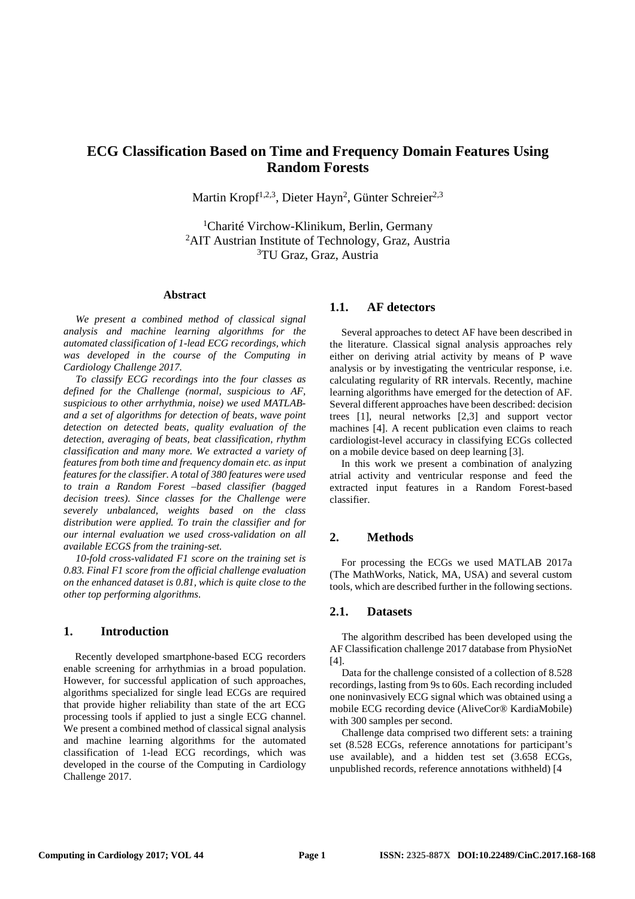# **ECG Classification Based on Time and Frequency Domain Features Using Random Forests**

Martin Kropf<sup>1,2,3</sup>, Dieter Hayn<sup>2</sup>, Günter Schreier<sup>2,3</sup>

<sup>1</sup>Charité Virchow-Klinikum, Berlin, Germany <sup>2</sup>AIT Austrian Institute of Technology, Graz, Austria <sup>3</sup>TU Graz, Graz, Austria

### **Abstract**

*We present a combined method of classical signal analysis and machine learning algorithms for the automated classification of 1-lead ECG recordings, which was developed in the course of the Computing in Cardiology Challenge 2017.* 

*To classify ECG recordings into the four classes as defined for the Challenge (normal, suspicious to AF, suspicious to other arrhythmia, noise) we used MATLABand a set of algorithms for detection of beats, wave point detection on detected beats, quality evaluation of the detection, averaging of beats, beat classification, rhythm classification and many more. We extracted a variety of features from both time and frequency domain etc. as input features for the classifier. A total of 380 features were used to train a Random Forest –based classifier (bagged decision trees). Since classes for the Challenge were severely unbalanced, weights based on the class distribution were applied. To train the classifier and for our internal evaluation we used cross-validation on all available ECGS from the training-set.* 

*10-fold cross-validated F1 score on the training set is 0.83. Final F1 score from the official challenge evaluation on the enhanced dataset is 0.81, which is quite close to the other top performing algorithms.* 

### **1. Introduction**

Recently developed smartphone-based ECG recorders enable screening for arrhythmias in a broad population. However, for successful application of such approaches, algorithms specialized for single lead ECGs are required that provide higher reliability than state of the art ECG processing tools if applied to just a single ECG channel. We present a combined method of classical signal analysis and machine learning algorithms for the automated classification of 1-lead ECG recordings, which was developed in the course of the Computing in Cardiology Challenge 2017.

### **1.1. AF detectors**

Several approaches to detect AF have been described in the literature. Classical signal analysis approaches rely either on deriving atrial activity by means of P wave analysis or by investigating the ventricular response, i.e. calculating regularity of RR intervals. Recently, machine learning algorithms have emerged for the detection of AF. Several different approaches have been described: decision trees [1], neural networks [2,3] and support vector machines [4]. A recent publication even claims to reach cardiologist-level accuracy in classifying ECGs collected on a mobile device based on deep learning [3].

In this work we present a combination of analyzing atrial activity and ventricular response and feed the extracted input features in a Random Forest-based classifier.

### **2. Methods**

For processing the ECGs we used MATLAB 2017a (The MathWorks, Natick, MA, USA) and several custom tools, which are described further in the following sections.

### **2.1. Datasets**

The algorithm described has been developed using the AF Classification challenge 2017 database from PhysioNet [4].

Data for the challenge consisted of a collection of 8.528 recordings, lasting from 9s to 60s. Each recording included one noninvasively ECG signal which was obtained using a mobile ECG recording device (AliveCor® KardiaMobile) with 300 samples per second.

Challenge data comprised two different sets: a training set (8.528 ECGs, reference annotations for participant's use available), and a hidden test set (3.658 ECGs, unpublished records, reference annotations withheld) [4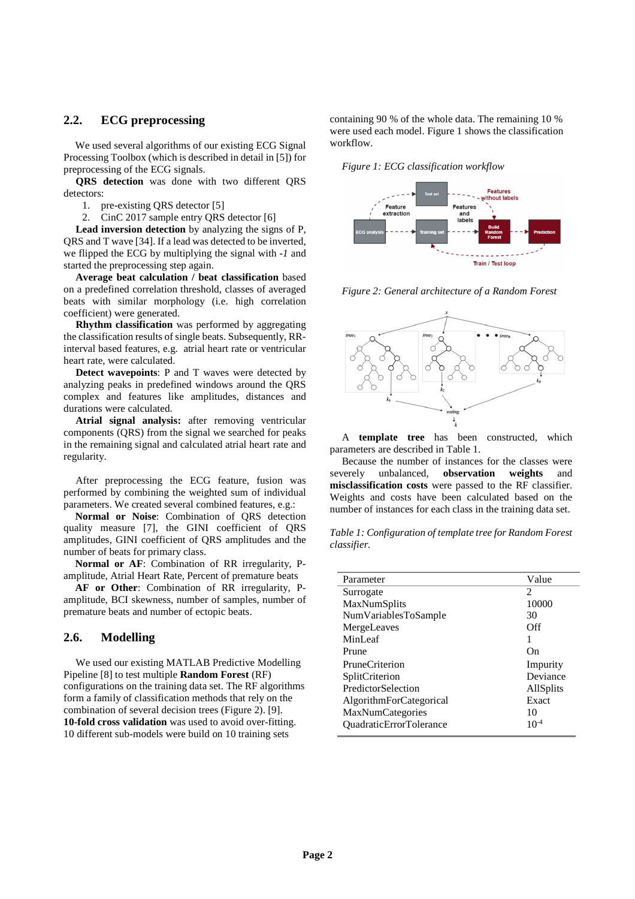# **2.2. ECG preprocessing**

We used several algorithms of our existing ECG Signal Processing Toolbox (which is described in detail in [5]) for preprocessing of the ECG signals.

**QRS detection** was done with two different QRS detectors:

1. pre-existing QRS detector [5]

2. CinC 2017 sample entry QRS detector [6]

**Lead inversion detection** by analyzing the signs of P, QRS and T wave [34]. If a lead was detected to be inverted, we flipped the ECG by multiplying the signal with *-1* and started the preprocessing step again.

**Average beat calculation / beat classification** based on a predefined correlation threshold, classes of averaged beats with similar morphology (i.e. high correlation coefficient) were generated.

**Rhythm classification** was performed by aggregating the classification results of single beats. Subsequently, RRinterval based features, e.g. atrial heart rate or ventricular heart rate, were calculated.

**Detect wavepoints**: P and T waves were detected by analyzing peaks in predefined windows around the QRS complex and features like amplitudes, distances and durations were calculated.

Atrial signal analysis: after removing ventricular components (QRS) from the signal we searched for peaks in the remaining signal and calculated atrial heart rate and regularity.

After preprocessing the ECG feature, fusion was performed by combining the weighted sum of individual parameters. We created several combined features, e.g.:

**Normal or Noise**: Combination of QRS detection quality measure [7], the GINI coefficient of QRS amplitudes, GINI coefficient of QRS amplitudes and the number of beats for primary class.

**Normal or AF**: Combination of RR irregularity, Pamplitude, Atrial Heart Rate, Percent of premature beats

**AF or Other**: Combination of RR irregularity, Pamplitude, BCI skewness, number of samples, number of premature beats and number of ectopic beats.

### **2.6. Modelling**

We used our existing MATLAB Predictive Modelling Pipeline [8] to test multiple **Random Forest** (RF) configurations on the training data set. The RF algorithms form a family of classification methods that rely on the combination of several decision trees (Figure 2). [9]. **10-fold cross validation** was used to avoid over-fitting. 10 different sub-models were build on 10 training sets

containing 90 % of the whole data. The remaining 10 % were used each model. Figure 1 shows the classification workflow.

*Figure 1: ECG classification workflow* 



*Figure 2: General architecture of a Random Forest* 



A **template tree** has been constructed, which parameters are described in Table 1.

Because the number of instances for the classes were severely unbalanced, **observation weights** and **misclassification costs** were passed to the RF classifier. Weights and costs have been calculated based on the number of instances for each class in the training data set.

*Table 1: Configuration of template tree for Random Forest classifier.* 

| Parameter                      | Value            |
|--------------------------------|------------------|
| Surrogate                      | 2                |
| MaxNumSplits                   | 10000            |
| NumVariablesToSample           | 30               |
| MergeLeaves                    | Off              |
| MinLeaf                        |                  |
| Prune                          | $_{\rm On}$      |
| <b>PruneCriterion</b>          | Impurity         |
| SplitCriterion                 | Deviance         |
| PredictorSelection             | <b>AllSplits</b> |
| AlgorithmForCategorical        | Exact            |
| MaxNumCategories               | 10               |
| <b>OuadraticErrorTolerance</b> | $10^{-4}$        |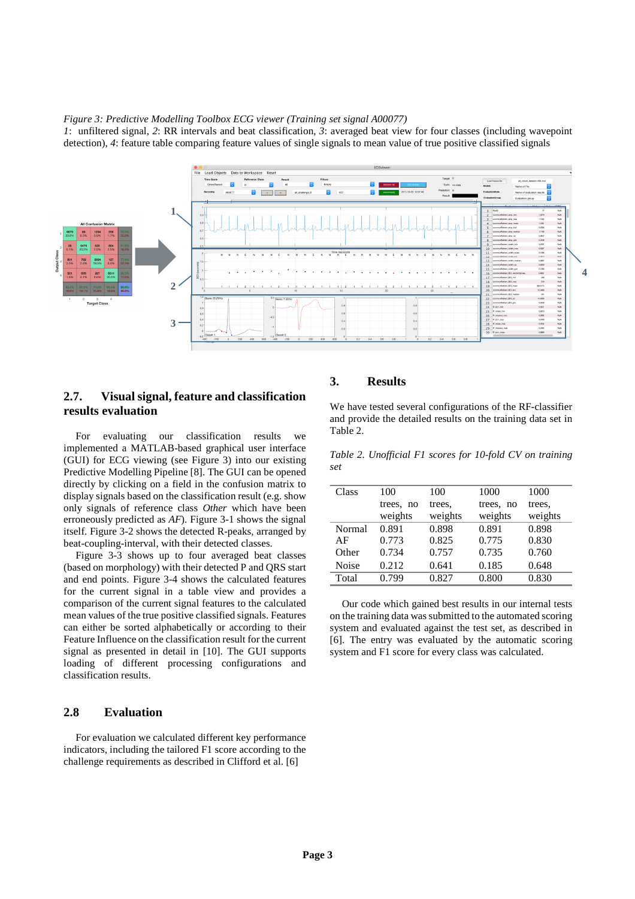#### *Figure 3: Predictive Modelling Toolbox ECG viewer (Training set signal A00077)*

*1*: unfiltered signal, *2*: RR intervals and beat classification, *3*: averaged beat view for four classes (including wavepoint detection), *4*: feature table comparing feature values of single signals to mean value of true positive classified signals



# **2.7. Visual signal, feature and classification results evaluation**

For evaluating our classification results we implemented a MATLAB-based graphical user interface (GUI) for ECG viewing (see Figure 3) into our existing Predictive Modelling Pipeline [8]. The GUI can be opened directly by clicking on a field in the confusion matrix to display signals based on the classification result (e.g. show only signals of reference class *Other* which have been erroneously predicted as *AF*). Figure 3-1 shows the signal itself. Figure 3-2 shows the detected R-peaks, arranged by beat-coupling-interval, with their detected classes.

Figure 3-3 shows up to four averaged beat classes (based on morphology) with their detected P and QRS start and end points. Figure 3-4 shows the calculated features for the current signal in a table view and provides a comparison of the current signal features to the calculated mean values of the true positive classified signals. Features can either be sorted alphabetically or according to their Feature Influence on the classification result for the current signal as presented in detail in [10]. The GUI supports loading of different processing configurations and classification results.

# **2.8 Evaluation**

For evaluation we calculated different key performance indicators, including the tailored F1 score according to the challenge requirements as described in Clifford et al. [6]

# **3. Results**

We have tested several configurations of the RF-classifier and provide the detailed results on the training data set in Table 2.

*Table 2. Unofficial F1 scores for 10-fold CV on training set* 

| Class  | 100       | 100     | 1000      | 1000    |
|--------|-----------|---------|-----------|---------|
|        | trees, no | trees.  | trees, no | trees.  |
|        | weights   | weights | weights   | weights |
| Normal | 0.891     | 0.898   | 0.891     | 0.898   |
| AF     | 0.773     | 0.825   | 0.775     | 0.830   |
| Other  | 0.734     | 0.757   | 0.735     | 0.760   |
| Noise  | 0.212     | 0.641   | 0.185     | 0.648   |
| Total  | 0.799     | 0.827   | 0.800     | 0.830   |

Our code which gained best results in our internal tests on the training data was submitted to the automated scoring system and evaluated against the test set, as described in [6]. The entry was evaluated by the automatic scoring system and F1 score for every class was calculated.